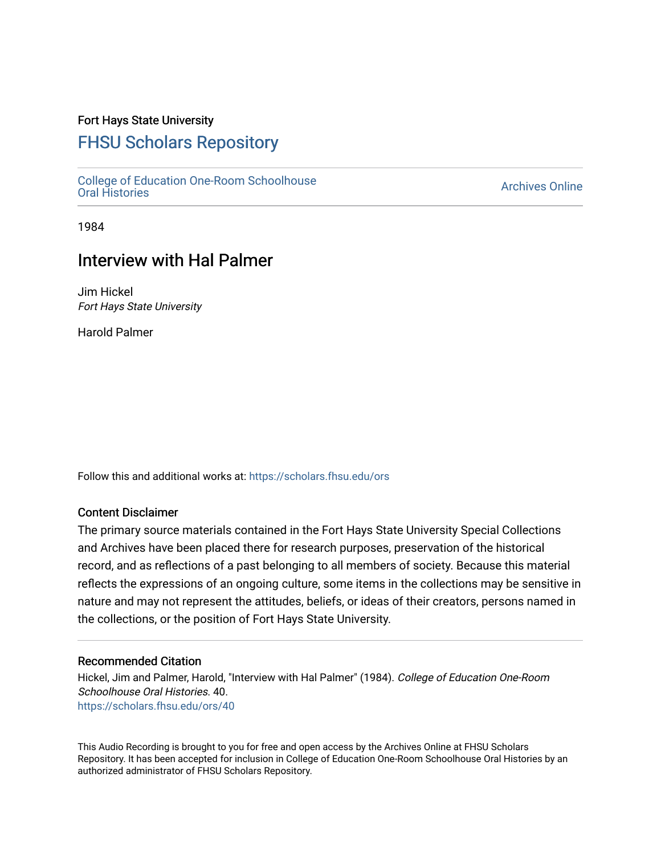### Fort Hays State University

## [FHSU Scholars Repository](https://scholars.fhsu.edu/)

[College of Education One-Room Schoolhouse](https://scholars.fhsu.edu/ors) [Oral Histories](https://scholars.fhsu.edu/ors) [Archives Online](https://scholars.fhsu.edu/archives) 

1984

# Interview with Hal Palmer

Jim Hickel Fort Hays State University

Harold Palmer

Follow this and additional works at: [https://scholars.fhsu.edu/ors](https://scholars.fhsu.edu/ors?utm_source=scholars.fhsu.edu%2Fors%2F40&utm_medium=PDF&utm_campaign=PDFCoverPages) 

#### Content Disclaimer

The primary source materials contained in the Fort Hays State University Special Collections and Archives have been placed there for research purposes, preservation of the historical record, and as reflections of a past belonging to all members of society. Because this material reflects the expressions of an ongoing culture, some items in the collections may be sensitive in nature and may not represent the attitudes, beliefs, or ideas of their creators, persons named in the collections, or the position of Fort Hays State University.

#### Recommended Citation

Hickel, Jim and Palmer, Harold, "Interview with Hal Palmer" (1984). College of Education One-Room Schoolhouse Oral Histories. 40. [https://scholars.fhsu.edu/ors/40](https://scholars.fhsu.edu/ors/40?utm_source=scholars.fhsu.edu%2Fors%2F40&utm_medium=PDF&utm_campaign=PDFCoverPages)

This Audio Recording is brought to you for free and open access by the Archives Online at FHSU Scholars Repository. It has been accepted for inclusion in College of Education One-Room Schoolhouse Oral Histories by an authorized administrator of FHSU Scholars Repository.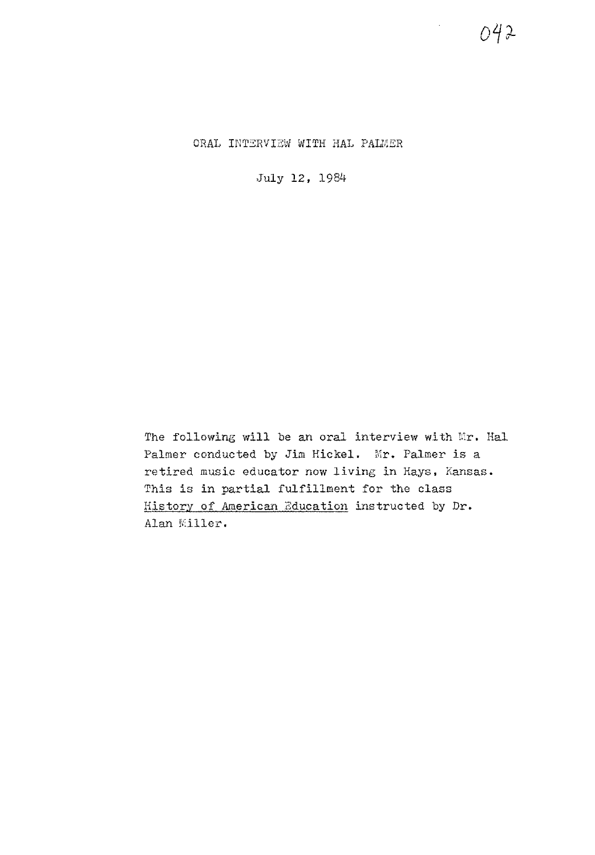ORAL INTERVIEW WITH HAL PALMER

July 12, 1984

The following will be an oral interview with Mr. Hal Palmer conducted by Jim Hickel. Mr. Palmer is a retired music educator now living in Hays, Kansas. This is in partial fulfillment for the class History of American Education instructed by Dr. Alan Miller.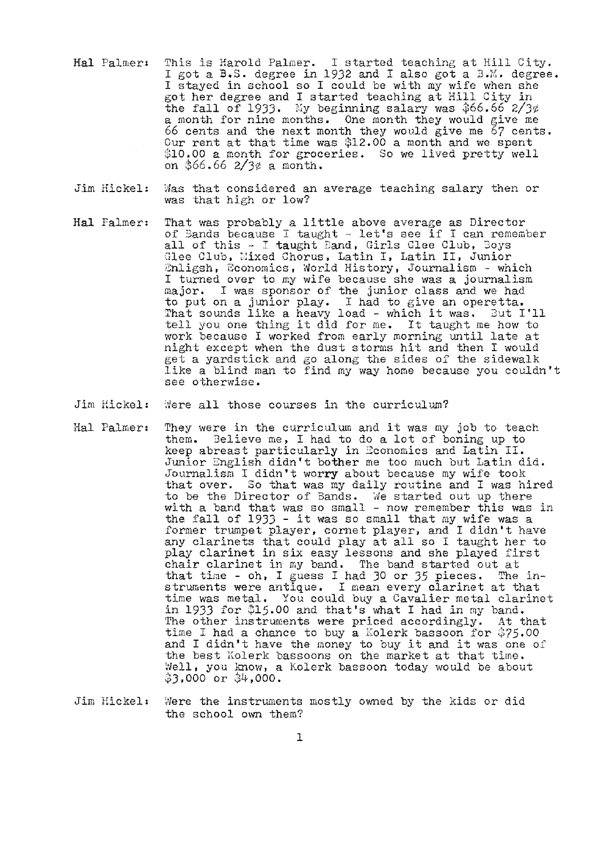- Hal Palmer: This is Harold Palmer. I started teaching at Hill City.<br>I got a B.S. degree in 1932 and I also got a B.M. degree. <sup>I</sup>stayed in school so I could be with my wife when she got her degree and I started teaching at Hill City in the fall of 1933. My beginning salary was  $\frac{366.66}{66.2}$   $\frac{273}{6}$ a month for nine months. One month they would give me 66 cents and the next month they would give me 67 cents. Our rent at that time was \$12.00 a month and we spent \$10.00 a month for groceries. So we lived pretty well on  $$66.66 \; 2/3¢$ a month.$
- Jim Hickel: Was that considered an average teaching salary then or was that high or low?
- Hal Palmer: That was probably a little above average as Director of 3ands because I taught - let's see if I can remember all of this - I taught Band, Girls Glee Club, Joys Glee Club, Mixed Chorus, Latin I, Latin II, Junior Enligsh, Economics, World History, Journalism - which I turned over to my wife because she was a journalism major. I was sponsor of the junior class and we had to put on a junior play, I had to give an operetta. That sounds like a heavy load - which it was. Jut I'll that sounds like a heavy load - which it was. Sut I is work because I worked from early morning until late at night except when the dust storms hit and then I would get a yardstick and go along the sides of the sidewalk like a blind man to find my way home because you couldn't see otherwise.
- Jim Hickel: Were all those courses in the curriculum?
- Hal Palmer: They were in the curriculum and it was my job to teach them. Believe me, I had to do a lot of boning up to keep abreast particularly in Economics and Latin II. Junior English didn't bother me too much but Latin did. Journalism I didn't worry about because my wife took that over. So that was my daily routine and I was hired to be the Director of Bands. We started out up there with a band that was so small - now remember this was in the fall of 1933 - it was so small that my wife was a former trumpet player, cornet player, and I didn't have any clarinets that could play at all so I taught her to play clarinet in six easy lessons and she played first chair clarinet in my band. The band started out at that time - oh, I guess I had 30 or 35 pieces. The instruments were antique. I mean every clarinet at that time was metal, You could buy a Cavalier metal clarinet in 1933 for  $$15.00$  and that's what I had in my band. The other instruments were priced accordingly. At that time I had a chance to buy a Kolerk bassoon for  $$75.00$ time I had a chance to buy a noierk bassoon for  $\frac{3}{2}$ .00<br>and I didn't have the money to buy it and it was one of the best Kolerk bassoons on the market at that time. Well, you know, a Kolerk bassoon today would be about  $3,000$  or  $34,000$ .
- Jim Hickel: Were the instruments mostly owned by the kids or did the school own them?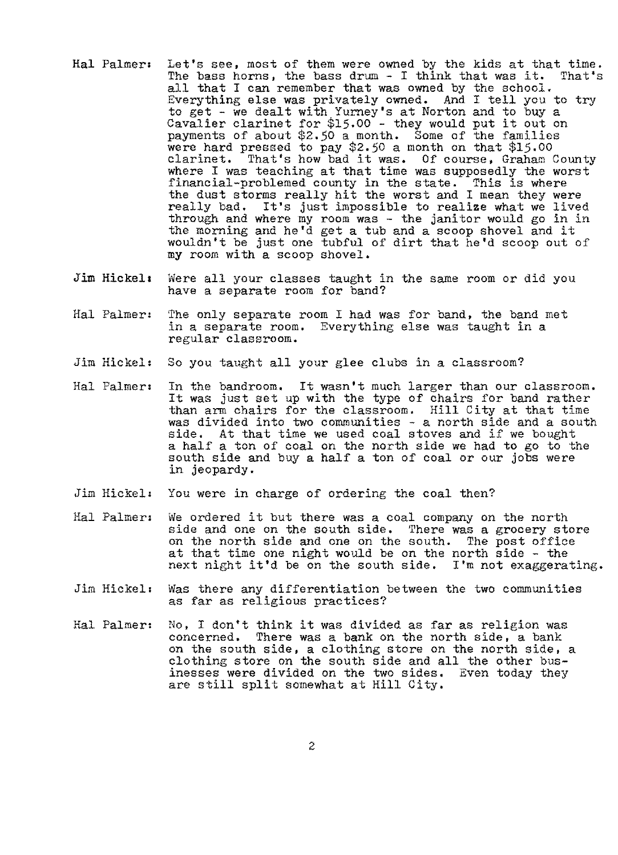- Hal Palmer: Let's see, most of them were owned by the kids at that time.<br>The bass horns, the bass drum I think that was it. That's The bass horns, the bass drum  $-$  I think that was it. all that I can remember that was owned by the school. Everything else was privately owned. And I tell you to try to get - we dealt with Yurney's at Norton and to buy a Cavalier clarinet for \$15.00 - they would put it out on payments of about \$2.50 a month. Some of the families were hard pressed to pay \$2.50 a month on that \$15.00 clarinet. That's how bad it was. Of course, Graham County where I was teaching at that time was supposedly the worst financial-problemed county in the state. This is where the dust storms really hit the worst and I mean they were really bad. It's just impossible to realize what we lived through and where my room was - the janitor would go in in the morning and he'd get a tub and a scoop shovel and it wouldn't be just one tubful of dirt that he'd scoop out of **my** room with a scoop shovel.
- Jim Hickel: Were all your classes taught in the same room or did you have a separate room for band?
- Hal Palmer: The only separate room I had was for band, the band met in a separate room. Everything else was taught in a regular classroom.
- Jim Hickel: So you taught all your glee clubs in a classroom?
- Hal Palmeri In the bandroom. It wasn't much larger than our classroom. It was just set up with the type of chairs for band rather than arm chairs for the classroom. Hill City at that time was divided into two communities - a north side and a south side. At that time we used coal stoves and if we bought a half a ton of coal on the north side we had to go to the south side and buy a half a ton of coal or our jobs were in jeopardy.
- Jim Hickel: You were in charge of ordering the coal then?
- Hal Palmer: We ordered it but there was a coal company on the north side and one on the south side. There was a grocery store on the north side and one on the south. The post office at that time one night would be on the north side - the next night it'd be on the south side. I'm not exaggerating.
- Jim Hickel1 Was there any differentiation between the two communities as far as religious practices?
- Hal Palmer, *No,* I don't think it was divided as far as religion was concerned. There was a bank on the north side, a bank on the south side, a clothing store on the north side, a clothing store on the south side and all the other businesses were divided on the two sides, Even today they are still split somewhat at Hill City.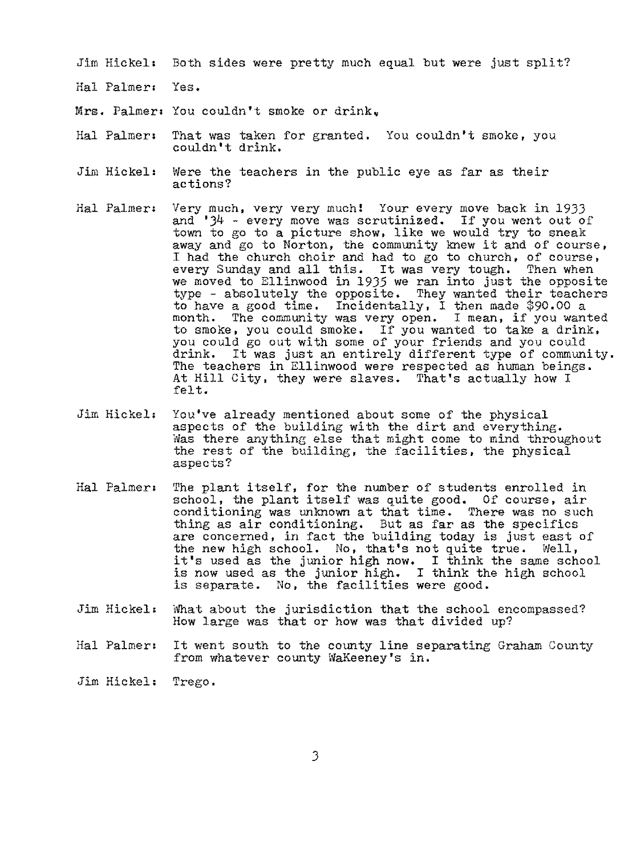Jim Hickel: Both sides were pretty much equal but were just split?

- Hal Palmer: Yes.
- Mrs. Palmer, You couldn't smoke or drink,
- Hal Palmer: That was taken for granted. You couldn't smoke, you couldn't drink.
- Jim Hickel: Were the teachers in the public eye as far as their actions?
- Hal Palmer: Very much, very very much! Your every move back in 1933 and  $34$  - every move was scrutinized. If you went out of town to go to a picture show, like we would try to sneak town to go to a picture show, like we would try to sheak<br>away and go to Norton, the community knew it and of course, I had the church choir and had to go to church, of course, every Sunday and all this. It was very tough, Then when we moved to Ellinwood in 1935 we ran into just the opposite type - absolutely the opposite. They wanted their teachers to have a good time. Incidentally, I then made \$90,00 a month. The community was very open. I mean, if you wanted to smoke, you could smoke. If you wanted to take a drink, you could go out with some of your friends and you could drink, It was just an entirely different type of community. The teachers in Ellinwood were respected as human beings. At Hill City, they were slaves. That's actually how I felt.
- Jim Hickel, You've already mentioned about some of the physical aspects of the building with the dirt and everything. Was there anything else that might come to mind throughout the rest of the building, the facilities, the physical aspects?
- Hal Palmeri The plant itself, for the number of students enrolled in school, the plant itself was quite good. Of course, air conditioning was unknown at that time. There was no such thing as air conditioning. But as far as the specifics are concerned, in fact the building today is just east of the new high school. No, that's not quite true. Well, it's used as the junior high now. I think the same school is now used as the junior high, I think the high school is separate. No, the facilities were good.
- Jim Hickel: What about the jurisdiction that the school encompassed? How large was that or how was that divided up?
- Hal Palmer, It went south to the county line separating Graham County from whatever county WaKeeney's in.
- Jim Hickel, Trego.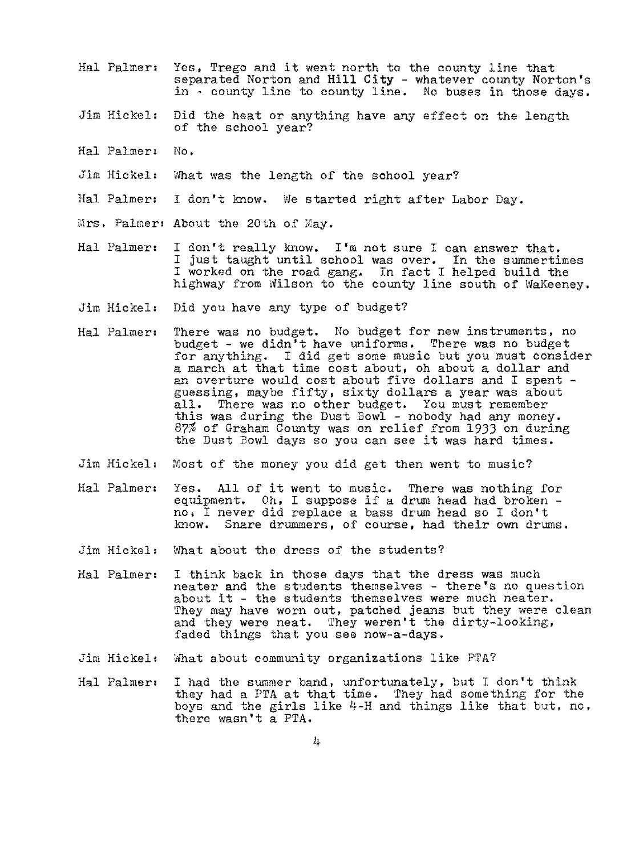- Hal Palmer: Yes, Trego and it went north to the county line that separated Norton and **Hill** City - whatever county Norton's in - county line to county line. No buses in those days.
- Jim Hickel: Did the heat or anything have any effect on the length of the school year?
- Hal Palmer, No,
- Jim Hickel: What was the length of the school year?
- Hal Palmer, I don't know. We started right after Labor Day.
- $Mrs.$  Palmer: About the 20th of  $May.$
- Hal Palmer: I don't really know. I'm not sure I can answer that. I just taught until school was over. In the summertimes I worked on the road gang. In fact I helped build the highway from Wilson to the county line south of WaKeeney.
- Jim Hickel: Did you have any type of budget?
- Hal Palmer: There was no budget. No budget for new instruments, no budget - we didn't have uniforms. There was no budget for anything. I did get some music but you must consider a march at that time cost about, oh about a dollar and an overture would cost about five dollars and I spent guessing, maybe fifty, sixty dollars a year was about all. There was no other budget. You must remember all. There was no other budget. You must remember this was during the Dust Bowl - nobody had any money. 87% of Graham County was on relief from 1933 on during the Dust Bowl days so you can see it was hard times.
- Jim Hickel, Most of the money you did get then went to music?
- Hal Palmer: Yes. All of it went to music. There was nothing for<br>equipment. Oh, I suppose if a drum head had broken  $n\tilde{o}$ , I never did replace a bass drum head so I don't know. Snare drummers, of course, had their own drum Snare drummers, of course, had their own drums.
- Jim Hickel: What about the dress of the students?
- Hal Palmer: I think back in those days that the dress was much neater and the students themselves - there's no question about it - the students themselves were much neater. They may have worn out, patched jeans but they were clean and they were neat. They weren't the dirty-looking, faded things that you see now-a-days.
- Jim Hickel: What about community organizations like PTA?
- Hal Palmer: I had the summer band, unfortunately, but I don't think they had a PTA at that time. They had something for the boys and the girls like 4-H and things like that but, no, there wasn't a PTA.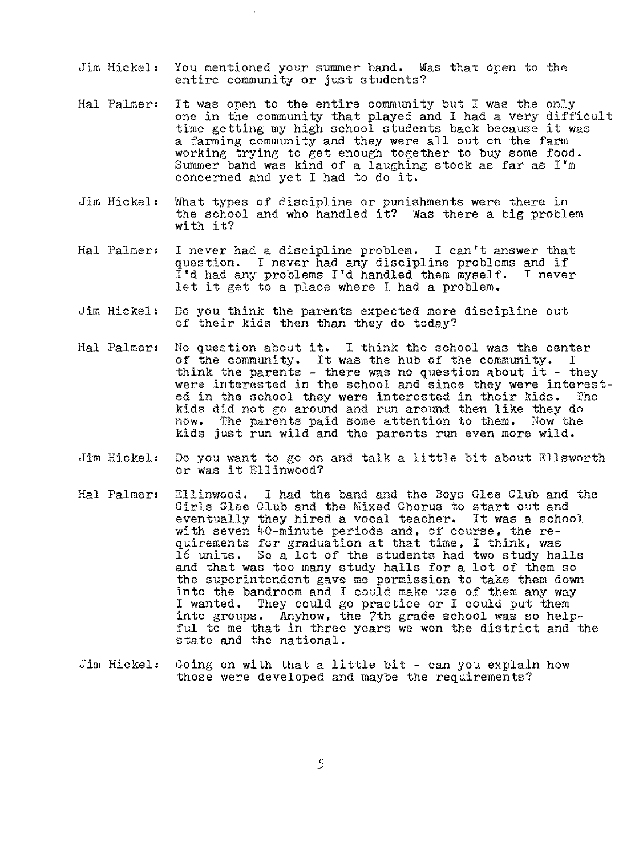- Jim Hickel: You mentioned your summer band. Was that open to the entire community or just students?
- Hal Palmer: It was open to the entire community but I was the only one in the community that played and I had a very difficult time getting my high school students back because it was a farming community and they were all out on the farm working trying to get enough together to buy some food. Summer band was kind of a laughing stock as far as I'm concerned and yet I had to do it.
- Jim Hickel: What types of discipline or punishments were there in the school and who handled it? Was there a big problem with it?
- Hal Palmer: I never had a discipline problem. I can't answer that question. I never had any discipline problems and if<br>I'd had any problems I'd handled them myself. I never  $I'd$  had any problems  $I'd$  handled them myself. let it get to a place where I had a problem.
- Jim Hickel: Do you think the parents expected more discipline out of their kids then than they do today?
- Hal Palmeri No question about it. I think the school was the center of the community. It was the hub of the community. I or the community. It was the hub of the community. I<br>think the parents - there was no question about it - they were interested in the school and since they were interested in the school they were interested in their kids. The kids did not go around and run around then like they do now. The parents paid some attention to them. Now the The parents paid some attention to them. Now the kids just run wild and the parents run even more wild.
- Jim Hickel: Do you want to go on and talk a little bit about Ellsworth or was it Ellinwood?
- Hal Palmer: Ellinwood. I had the band and the Boys Glee Club and the Girls Glee Club and the Mixed Chorus to start out and eventually they hired a vocal teacher. It was a school with seven 40-minute periods and, of course, the requirements for graduation at that time, I think, was 16 units. So a lot of the students had two study halls and that was too many study halls for a lot of them so the superintendent gave me permission to take them down into the bandroom and I could make use of them any way I wanted. They could go practice or I could put them into groups. Anyhow, the 7th grade school was so helpful to me that in three years we won the district and the state and the national.
- Jim Hickel: Going on with that a little bit can you explain how those were developed and maybe the requirements?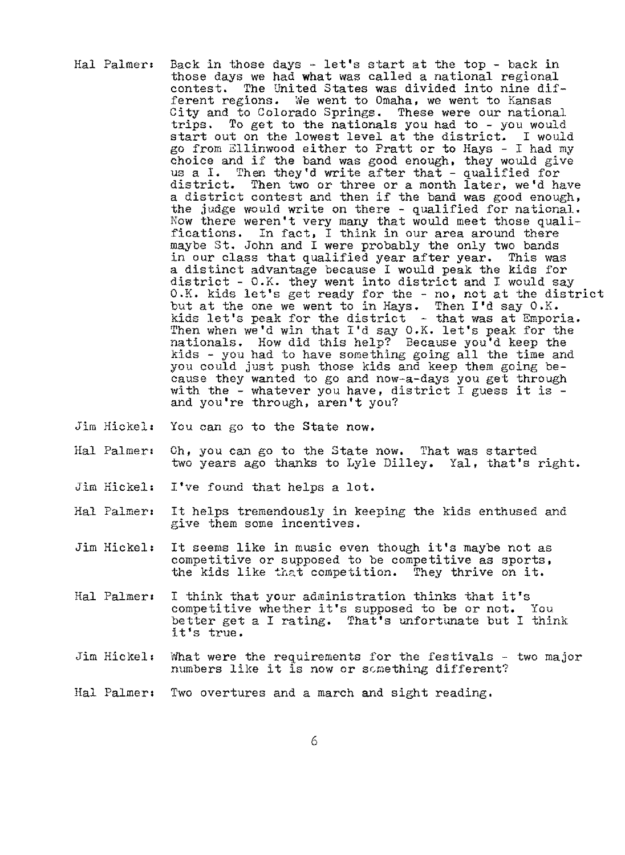- Hal Palmer, Back in those days let's start at the top back in those days we had **what** was called a national regional contest. The United States was divided into nine different regions. We went to Omaha, we went to Kansas City and to Colorado Springs. These were our national trips. To get to the nationals you had to - you would start out on the lowest level at the district. I would go from Ellinwood either to Pratt or to Hays - I had my choice and if the band was good enough, they would give us a I. Then they'd write after that - qualified for district. Then two or three or a month later, we'd have a district contest and then *if* the band was good enough, the judge would write on there - qualified for national. Now there weren't very many that would meet those qualifications. In fact, I think in our area around there maybe St. John and I were probably the only two bands in our class that qualified year after year. This was a distinct advantage because I would peak the kids for district - O.K. they went into district and I would say O.K, kids let's get ready for the - no, not at the district but at the one we went to in Hays. Then I'd say 0.K. but at the one we went to in hays. Then I usay of ... Then when we'd win that I'd say 0.K. let's peak for the nationals. How did this help? Because you'd keep the kids - you had to have something going all the time and you could just push those kids and keep them going because they wanted to go and now-a-days you get through with the - whatever you have, district I guess it is - and you're through, aren't you?
- Jim Hickel: You can go to the State now.
- Hal Palmeri Ch, you can go to the State now. That was started two years ago thanks to Lyle Dilley, Yal, that's right.
- Jim Hickel: I've found that helps a lot.
- Hal Palmer: It helps tremendously in keeping the kids enthused and give them some incentives.
- Jim Hickel: It seems like in music even though it's maybe not as competitive or supposed to be competitive as sports, the kids like that competition. They thrive on it.
- Hal Palmer: I think that your administration thinks that it's competitive whether it's supposed to be or not. You better get a I rating. That's unfortunate but I think it's true.
- Jim Hickel: What were the requirements for the festivals two major numbers like it is now or something different?
- Hal Palmeri Two overtures and a march and sight reading.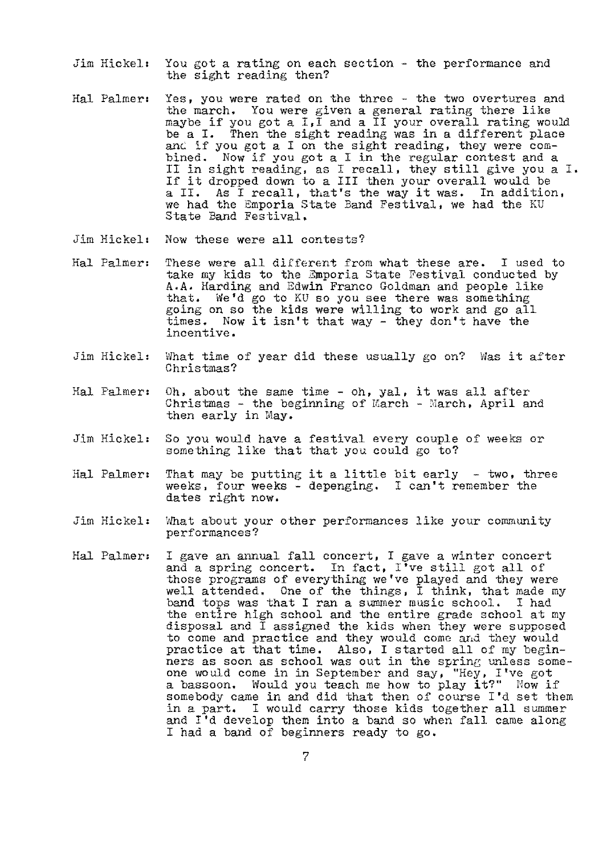- Jim Hickel: You got a rating on each section the performance and the sight reading then?
- Hal Palmer: Yes, you were rated on the three the two overtures and the march. You were given a general rating there like maybe if you got a I,I and a II your overall rating would be a I. Then the sight reading was in a different place and if you got a I on the sight reading, they were combined. Now if you got a I in the regular contest and a II in sight reading, as I recall, they still give you a I. If it dropped down to a III then your overall would be a II. As I recall, that's the way it was. In addition, we had the Emporia State Band Festival, we had the KU State Band Festival.
- Jim Hickel: Now these were all contests?
- Hal Palmer: These were all different from what these are. I used to take my kids to the Emporia State Festival conducted by A.A. Harding and Edwin Franco Goldman and people like that. We'd go to KU so you see there was something going on so the kids were willing to work and go all times. Now it isn't that way - they don't have the incentive.
- Jim Hickel: What time of year did these usually go on'? Was it after Christmas?
- Hal Palmer: Oh, about the same time oh, yal, it was all after Christmas - the beginning of  $March$  -  $March$ , April and then early in May.
- Jim Hickel: So you would have a festival every couple of weeks or something like that that you could go to?
- Hal Palmer: That may be putting it a little bit early two, three weeks, four weeks - depenging. I can't remember the dates right now.
- Jim Hickel: What about your other performances like your community performances?
- Hal Palmer: I gave an annual fall concert, I gave a winter concert I gave an annual lail concert, I gave a winter concert<br>and a spring concert. In fact, I've still got all of those programs of everything we've played and they were well attended. One of the things, I think, that made my band tops was that I ran a summer music school. I had the entire high school and the entire grade school at my disposal and I assigned the kids when they were supposed to come and practice and they would come and they would practice at that time. Also, I started all of my beginners as soon as school was out in the spring unless someone would come in in September and say, "Hey, I've got one would come in in september and say, ney, ive got somebody came in and did that then of course I'd set them in a part. I would carry those kids together all summer and I'd develop them into a band so when fall came along I had a band of beginners ready to go.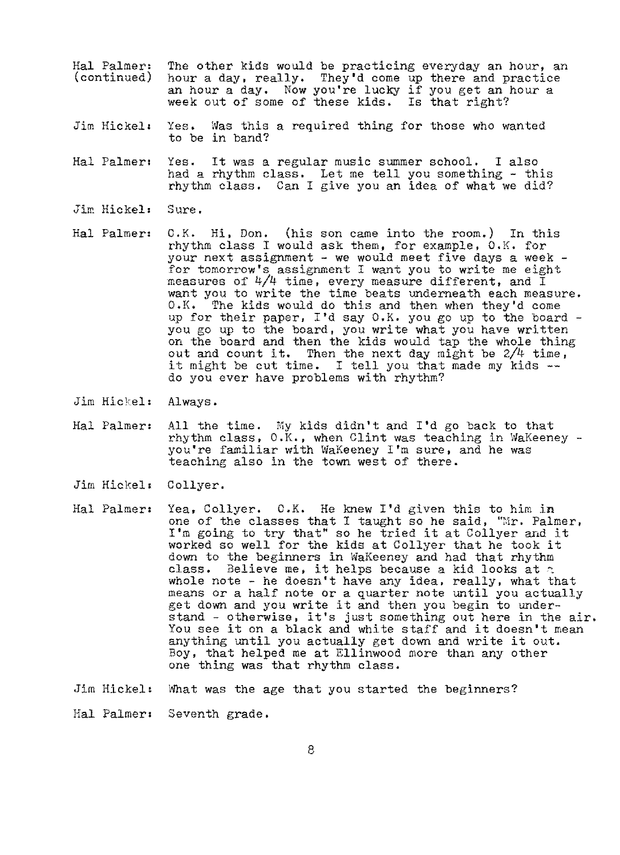- Hal Palmer: (continued) The other kids would be practicing everyday an hour, an hour a day, really, They'd come up there and practice an hour a day, Now you're lucky if you get an hour a week out of some of these kids. Is that right?
- Jim Hickel: Yes, Was this a required thing for those who wanted to be in band?
- Hal Palmer: Yes. had a rhythm class. Let me tell you something - this rhythm class. Can I give you an idea of what we did? It was a regular music summer school, I also
- Jim Hickel: Sure.
- Hal Palmer:  $0.K.$  Hi, Don. (his son came into the room.) In this rhythm class I would ask them, for example, O.K. for your next assignment - we would meet five days a week - for tomorrow's assignment I want you to write me eight measures of  $4/4$  time, every measure different, and  $\overline{1}$ want you to write the time beats underneath each measure. O.K. The kids would do this and then when they'd come up for their paper, I'd say O,K, you go up to the board - you go up to the board, you write what you have written on the board and then the kids would tap the whole thing out and count it. Then the next day might be 2/4 time, out and count it. Then the next day might be  $274$  time<br>it might be cut time. I tell you that made my kids --<br>do you ever have problems with rhythm?
- Jim Hickel: Always.
- Hal Palmer: All the time. My kids didn't and I'd go back to that<br>
rhythm class, 0.K., when Clint was teaching in WaKeeney you're familiar with WaKeeney I'm sure, and he was teaching also in the town west of there.
- Jim Hickel: Collyer.
- Hal Palmer: Yea, Collyer. O.K. He knew I'd given this to him in one of the classes that I taught so he said, "Mr. Palmer, I'm going to try that" so he tried it at Collyer and it worked so well for the kids at Collyer that he took it down to the beginners in WaKeeney and had that rhythm class. Believe me, it helps because a kid looks at  $\tau$ whole note - he doesn't have any idea, really, what that means or a half note or a quarter note until you actually get down and you write it and then you begin to understand - otherwise, it's just something out here in the air, You see it on a black and white staff and it doesn't mean anything until you actually get down and write it out. Boy, that helped me at Ellinwood more than any other one thing was that rhythm class.

Jim Hickel: What was the age that you started the beginners?

Hal Palmer: Seventh grade.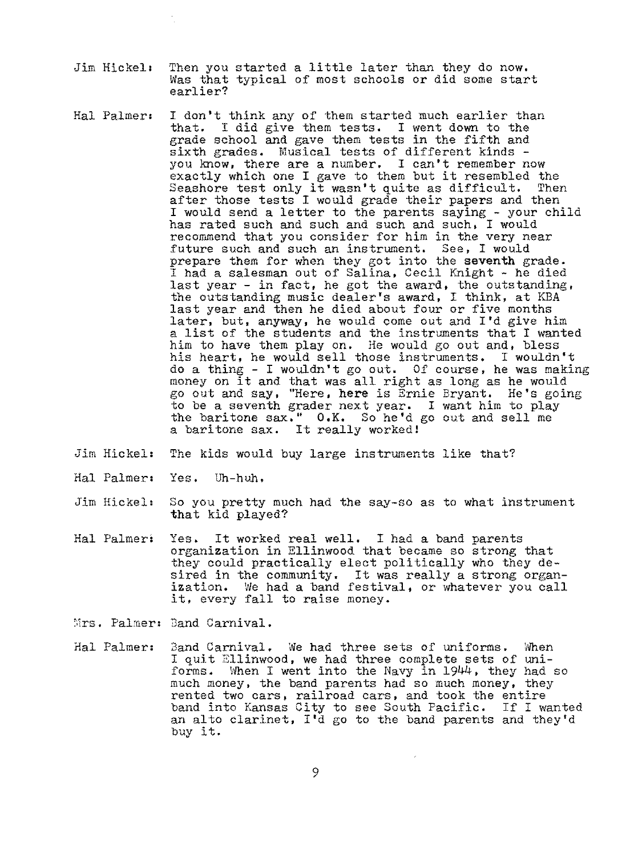- Jim Hickel: Then you started a little later than they do now. Was that typical of most schools or did some start earlier?
- Hal Palmer: I don't think any of them started much earlier than that. I did give them tests. I went down to the grade school and gave them tests in the fifth and sixth grades. Musical tests of different kinds you know, there are a number. I can't remember now exactly which one I gave to them but it resembled the<br>Seashore test only it wasn't quite as difficult. Then exactly which one I gave to them but it resembled the<br>Seashore test only it wasn't quite as difficult. Then after those tests I would grade their papers and then I would send a letter to the parents saying - your child has rated such and such and such and such, I would recommend that you consider for him in the very near future such and such an instrument. See, I would prepare them for when they got into the **seventh** grade. I had a salesman out of Salina, Cecil Knight - he died last year - in fact, he got the award, the outstanding, the outstanding music dealer's award, I think, at KBA last year and then he died about four or five months later, but, anyway, he would come out and I'd give him a list of the students and the instruments that I wanted him to have them play on. He would go out and, bless his heart, he would sell those instruments. I wouldn't do a thing - I wouldn't go out. Of course, he was making ao a thing - i wouldn't go out. Of course, he was make<br>money on it and that was all right as long as he would go out and say, "Here, **here** is Ernie Bryant. He's going to be a seventh grader next year. I want him to play the baritone sax. " 0. K. So he• d go out and sell me a baritone sax. It really worked!
- *Jim* Hickel: The kids would buy large instruments like that?
- Hal Palmer: Yes. Uh-huh,
- Jim Hickel: So you pretty much had the say-so as to what instrument that kid played?
- Hal Palmeri Yes. It worked real well, I had a band parents organization in Ellinwood that became so strong that they could practically elect politically who they desired in the community. It was really a strong organization. We had a band festival, or whatever you call it, every fall to raise money.

Mrs. Palmer: Band Carnival.

Hal Palmer: Band Carnival. We had three sets of uniforms. When I quit Ellinwood, we had three complete sets of uniforms, When I went into the Navy in 1944, they had so much money, the band parents had so much money, they rented two cars, railroad cars, and took the entire band into Kansas City to see South Pacific. If I wanted an alto clarinet, I'd go to the band parents and they'd buy it.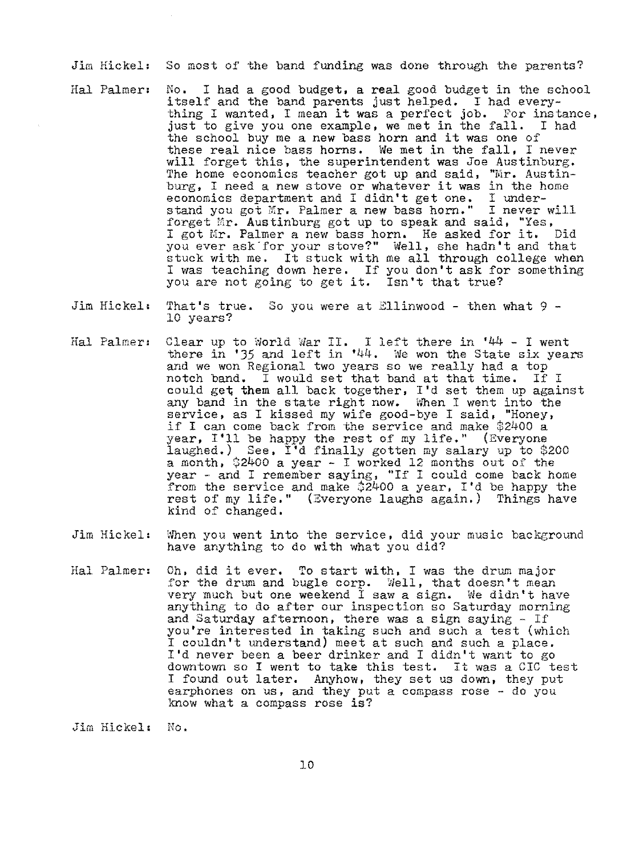Jim Hickel: So most of the band funding was done through the parents?

- Hal Palmer: No. I had a good budget, a real good budget in the school itself and the band parents just helped. I had every-Itself and the band parents just helped. I had every-<br>thing I wanted, I mean it was a perfect job. For instance, just to give you one example, we met in the fall. I had the school buy me a new bass horn and it was one of these real nice bass horns. We met in the fall, I never will forget this, the superintendent was *Joe* Austinburg, The home economics teacher got up and said, " $\text{Mr.}$  Austinburg, I need a new stove or whatever it was in the home economics department and I didn't get one. I undereconomics department and I didn't get one. stand you got Mr. Palmer a new bass horn." I never will forget Mr. Austinburg got up to speak and said, "Yes, I got Mr. Palmer a new bass horn. He asked for it. Did you ever ask for your stove?" Well, she hadn't and that stuck with me. It stuck with me all through college when I was teaching down here. If you don't ask for something you are not going to get it. Isn't that true?
- Jim Hickel: That's true. So you were at Ellinwood then what 9 10 years?
- Hal Palmer: Clear up to World War II. I left there in '44 I went there in '35 and left in '44. We won the State six years and we won Regional two years so we really had a top notch band. I would set that band at that time. If I could get **them** all back together, I'd set them up against any band in the state right now. When I went into the service, as I kissed my wife good-bye I said, "Honey, if I can come back from the service and make \$2400 a year, I'll be happy the rest of my life," (Everyone laughed.) See, I'd finally gotten my salary up to \$200  $a$  month,  $$2400$  a year - I worked 12 months out of the year - and I remember saying, "If I could come back home from the service and make \$2400 a year, I'd be happy the rest of my life." (Everyone laughs again.) Things have kind of changed.
- Jim Hickel: When you went into the service, did your music background have anything to do with what you did?
- Hal Palmer: Oh, did it ever. To start with, I was the drum major for the drum and bugle corp. Well, that doesn't mean very much but one weekend I saw a sign. We didn't have anything to do after our inspection so Saturday morning and Saturday afternoon, there was a sign saying - If you're interested in taking such and such a test (which I couldn't understand) meet at such and such a place. I'd never been a beer drinker and I didn't want to go downtown so I went to take this test. It was a CIC test I found out later. Anyhow, they set us down, they put earphones on us, and they put a compass rose - do you know what a compass rose is?

Jim Hickel: No.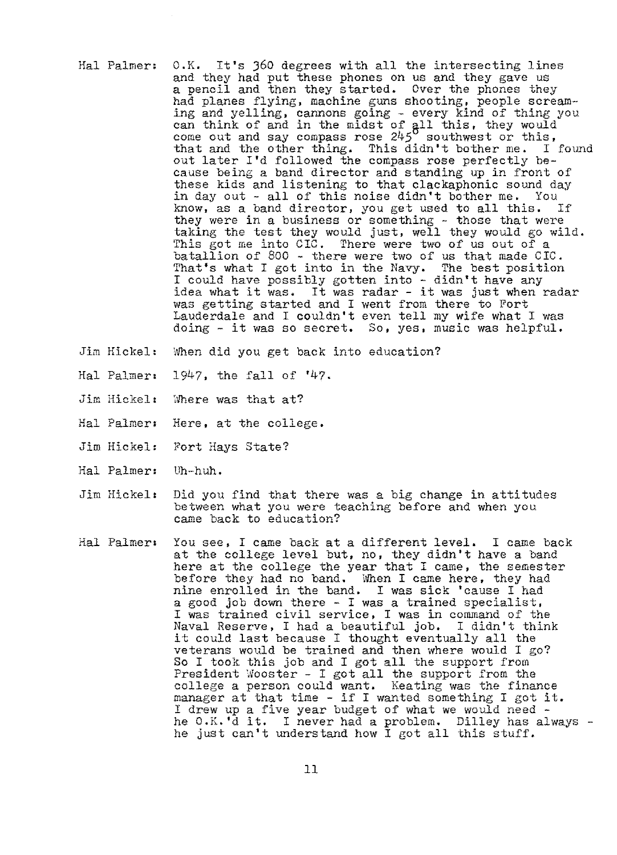- Hal Palmer: 0.K. It's J60 degrees with all the intersecting lines and they had put these phones on us and they gave us<br>a pencil and then they started. Over the phones they had planes flying, machine guns shooting, people screaming and yelling, cannons going - every kind of thing you can think of and in the midst of all this, they would come out and say compass rose  $245^\circ$  southwest or this, that and the other thing. This didn't bother me. I found out later I'd followed the compass rose perfectly because being a band director and standing up in front of these kids and listening to that clackaphonic sound day in day out - all of this noise didn't bother me. You know, as a band director, you get used to all this. If know, as a band director, you get used to all this. they were in a business or something - those that were taking the test they would just, well they would go wild. This got me into CIC. There were two of us out of a batallion of 800 - there were two of us that made CIC. That's what I got into *in* the Navy. The best position I could have possibly gotten into - didn't have any idea what it was. It was radar - it was just when radar was getting started and I went from there to Fort Lauderdale and I couldn't even tell my wife what I was doing - it was so secret. So, yes, music was helpful.
- Jim Hickel: When did you get back into education?
- Hal Palmer, 1947, the fall of '47,
- Jim Hickel: Where was that at?
- Hal Palmer: Here, at the college.
- Jim Hickel: Fort Hays State?
- Hal Palmer: Uh-huh.
- Jim Hickel: Did you find that there was a big change in attitudes between what you were teaching before and when you came back to education?
- Hal Palmer: You see, I came back at a different level. I came back at the college level but, no, they didn't have a band here at the college the year that I came, the semester before they had no band. When I came here, they had nine enrolled in the band. I was sick 'cause I had a good job down there - I was a trained specialist, I was trained civil service, I was in command of the Naval Reserve, I had a beautiful job, I didn't think it could last because I thought eventually all the veterans would be trained and then where would I go? So I took this job and I got all the support from President Wooster - I got all the support from the college a person could want, Keating was the finance manager at that time - if I wanted something I got it.<br>I drew up a five year budget of what we would need he 0.K.'d it. I never had a problem. Dilley has always - he just can't understand how I got all this stuff.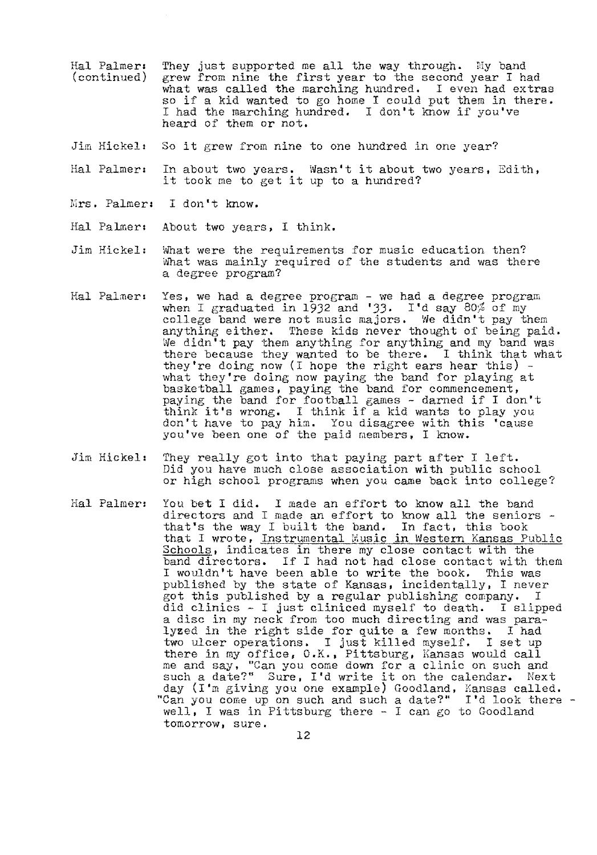- Hal Palmer, ( continued) They just supported me all the way through. My band grew from nine the first year to the second year I had what was called the marching hundred. I even had extras so if a kid wanted to go home I could put them in there. I had the marching hundred. I don't know if you've heard of them or not.
- Jim Hickel: So it grew from nine to one hundred in one year?
- Hal Palmer: In about two years. Wasn't it about two years, Edith, it took me to get it up to a hundred?
- Mrs. Palmer: I don't know.
- Hal Palmer: About two years, I think.
- Jim Hickel: What were the requirements for music education then? What was mainly required of the students and was there a degree program?
- Hal Palmer: Yes, we had a degree program - we had a degree program when I graduated in 1932 and '33. I'd say 80% of my<br>college band were not music majors. We didn't pay them anything either. These kids never thought of being paid. We didn't pay them anything for anything and my band was there because they wanted to be there. I think that what they're doing now (I hope the right ears hear this) they're doing now (I hope the right ears hear this) - what they're doing now paying the band for playing at basketball games, paying the band for commencement, paying the band for football games - darned if I don't think it's wrong. I think if a kid wants to play you don't have to pay him. You disagree with this 'cause you've been one of the paid members, I know.
- Jim Hickel: They really got into that paying part after I left. Did you have much close association **with** public school or high school programs when you came back into college?
- Hal Palmer: You bet I did. I made an effort to know all the band directors and I made an effort to know all the seniors that's the way I built the band. In fact, this book that I wrote, Instrumental Music in Western Kansas Public Schools, indicates in there my close contact with the band directors. If I had not had close contact with them I wouldn't have been able to write the book. This was published by the state of Kansas, incidentally, I never got this published by a regular publishing company. I did clinics - I just cliniced myself to death, I slipped a disc in my neck from too much directing and was paralyzed in the right side for quite a few months. I had two ulcer operations. I just killed myself. I set up there in my office, O.K., Pittsburg, Kansas would call me and say, "Can you come down for a clinic on such and such a date?" Sure, I'd write it on the calendar. Next day (I'm giving you one example) Goodland, Kansas called. "Can you come up on such and such a date?" I'd look there - well, I was in Pittsburg there - I can go to Goodland well, I was in Pittsburg there - I can go to Goodland tomorrow, sure.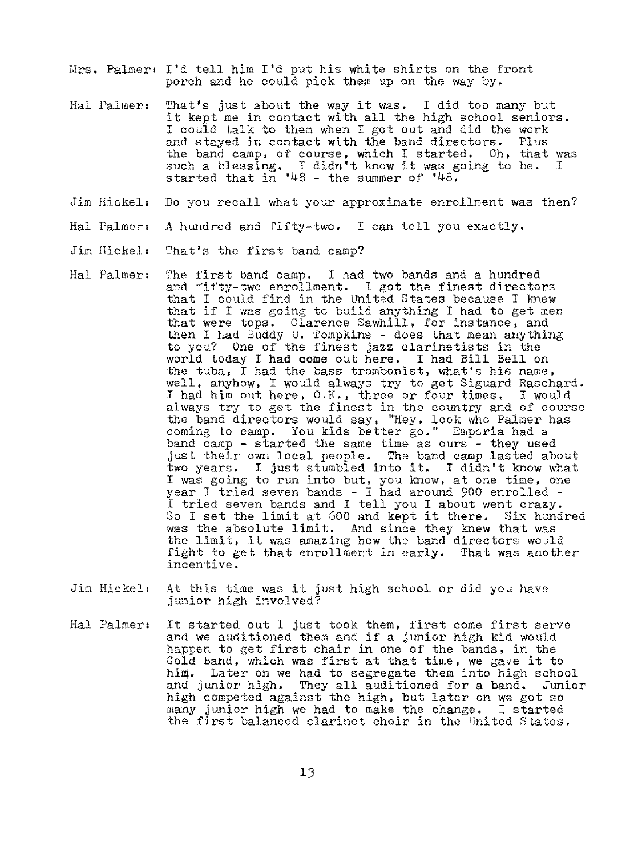- Mrs. Palmer: I'd tell him I'd put his white shirts on the front porch and he could pick them up on the way by.
- Hal Palmer: That's just about the way it was. I did too many but it kept me in contact with all the high school seniors. I could talk to them when I got out and did the work<br>and stayed in contact with the band directors. Plus and stayed in contact with the band directors. the band camp, of course, which I started. Oh, that was such a blessing. I didn't know it was going to be. I started that in  $48 -$  the summer of  $48$ .
- Jim Hickel: Do you recall what your approximate enrollment was then?
- Hal Palmer: A hundred and fifty-two, I can tell you exactly.
- Jim Hickel: That's the first band camp?
- Hal Palmer: The first band camp. I had two bands and a hundred and fifty-two enrollment. I got the finest directors that I could find in the United States because I knew that if I was going to build anything I had to get men that were tops. Clarence Sawhill, for instance, and then I had Buddy U. Tompkins - does that mean anything to you? One of the finest **jazz** clarinetists in the world today I **had** come out here, I had Bill Bell on the tuba, I had the bass trombonist, what's his name, well, anyhow, I would always try to get Siguard Raschard. I had him out here, O.K., three or four times. I would always try to get the finest in the country and of course the band directors would say, "Hey, look who Palmer has coming to camp. You kids better go," Emporia had a band camp - started the same time as ours - they used just their own local people. The band camp lasted about two years. I just stumbled into it. I didn't know what I was going to run into but, you know, at one time, one year I tried seven bands - I had around 900 enrolled - I tried seven bands and I tell you I about went crazy. I tried seven bands and I tell you I about went crazy.<br>So I set the limit at 600 and kept it there. Six hundred was the absolute limit. And since they knew that was the limit, it was amazing how the band directors would fight to get that enrollment in early. That was another incentive.
- Jim Hickel: At this time was it just high school or did you have junior high involved?
- Hal Palmeri It started out I just took them, first come first serve and we auditioned them and if a junior high kid would happen to get first chair in one of the bands, in the Gold Band, which was first at that time, we gave it to him. Later on we had to segregate them into high school and junior high, They all auditioned for a band. Junior high competed against the high, but later on we got so many junior high we had to make the change, I started the first balanced clarinet choir in the United States.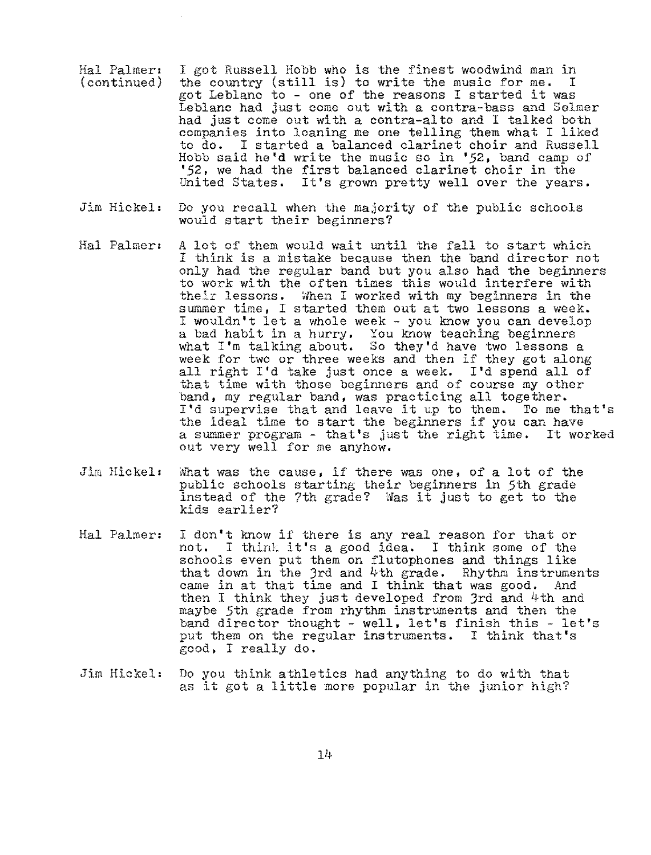- Hal Palmer: (continued) I got Russell Hobb who is the finest woodwind man in the country (still is) to write the music for me. I got Leblanc to - one of the reasons I started it was Leblanc had just come out with a contra-bass and Selmer had just come out with a contra-alto and I talked both companies into loaning me one telling them what I liked to do. I started a balanced clarinet choir and Russell Hobb said he'd write the music so in *'52,* band camp of *'52,* we had the first balanced clarinet choir in the United States. It's grown pretty well over the years,
- Jim Hickel: Do you recall when the majority of the public schools would start their beginners?
- Hal Palmer: A lot of them would wait until the fall to start which I think is a mistake because then the band director not only had the regular band but you also had the beginners to work with the often times this would interfere with their lessons. When I worked with my beginners in the summer time, I started them out at two lessons a week. I wouldn't let a whole week - you know you can develop a bad habit in a hurry. You know teaching beginners what I'm talking about. So they'd have two lessons a week for two or three weeks and then if they got along all right I'd take just once a week. I'd spend all of that time with those beginners and of course my other band, my regular band, was practicing all together. I'd supervise that and leave it up to them. To me that's the ideal time to start the beginners if you can have a summer program - that's just the right time. It worked out very well for me anyhow.
- Jim Hickel: What was the cause, if there was one, of a lot of the public schools starting their beginners in 5th grade instead of the 7th grade? Was it just to get to the kids earlier?
- Hal Palmer: I don't know if there is any real reason for that or not. I thint it's a good idea. I think some of the schools even put them on flutophones and things like that down in the 3rd and  $4$ th grade. Rhythm instruments came in at that time and I think that was good. And then I think they just developed from Jrd and 4th and maybe 5th grade from rhythm instruments and then the band director thought - well, let's finish this - let's put them on the regular instruments. I think that's good, I really do.
- Jim Hickel: Do you think athletics had anything to do with that as it got a little more popular in the jimior high?